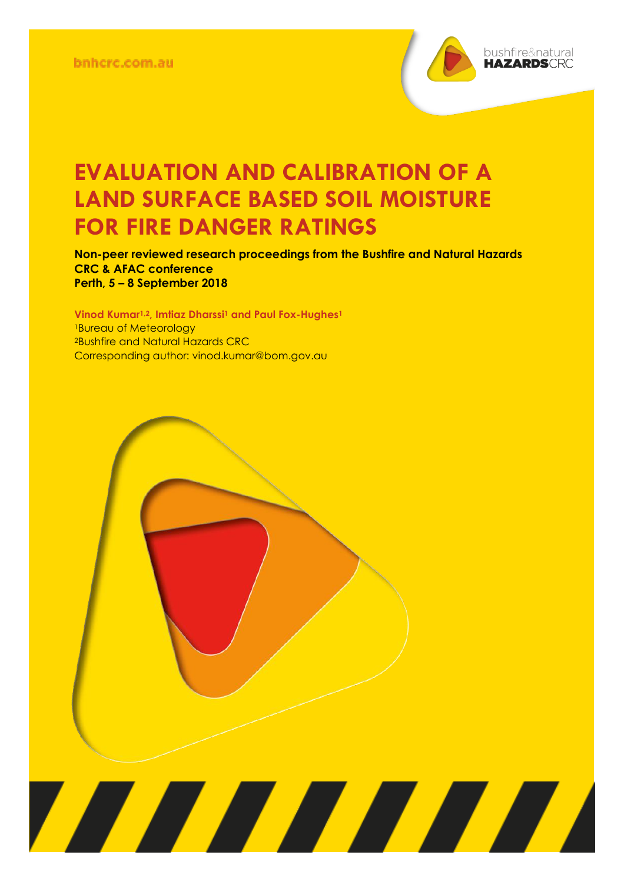

**Non-peer reviewed research proceedings from the Bushfire and Natural Hazards CRC & AFAC conference Perth, 5 – 8 September 2018**

<u> Alian Alian Karena dago dago da karena dago da karena dago da karena dago da karena dago da karena da karena </u>

**Vinod Kumar1,2, Imtiaz Dharssi<sup>1</sup> and Paul Fox-Hughes<sup>1</sup>** <sup>1</sup>Bureau of Meteorology <sup>2</sup>Bushfire and Natural Hazards CRC Corresponding author: vinod.kumar@bom.gov.au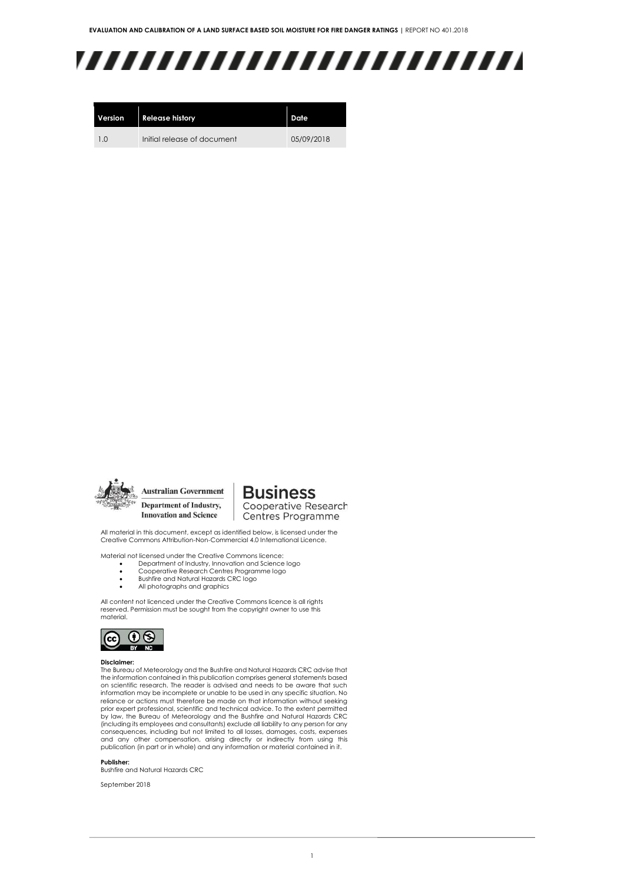# ,,,,,,,,,,,,,,,,,,,,,,,,,

| Version | <b>Release history</b>      | Date       |  |  |
|---------|-----------------------------|------------|--|--|
| 10      | Initial release of document | 05/09/2018 |  |  |



**Australian Government** Department of Industry, **Innovation and Science** 

**Business** Cooperative Research

Centres Programme

All material in this document, except as identified below, is licensed under the Creative Commons Attribution-Non-Commercial 4.0 International Licence.

Material not licensed under the Creative Commons licence:

- Department of Industry, Innovation and Science logo Cooperative Research Centres Programme logo
- Bushfire and Natural Hazards CRC logo
- All photographs and graphics

All content not licenced under the Creative Commons licence is all rights reserved. Permission must be sought from the copyright owner to use this material.



#### **Disclaimer:**

The Bureau of Meteorology and the Bushfire and Natural Hazards CRC advise that the information contained in this publication comprises general statements based on scientific research. The reader is advised and needs to be aware that such information may be incomplete or unable to be used in any specific situation. No reliance or actions must therefore be made on that information without seeking prior expert professional, scientific and technical advice. To the extent permitted by law, the Bureau of Meteorology and the Bushfire and Natural Hazards CRC (including its employees and consultants) exclude all liability to any person for any consequences, including but not limited to all losses, damages, costs, expenses and any other compensation, arising directly or indirectly from using this publication (in part or in whole) and any information or material contained in it.

**Publisher:**

Bushfire and Natural Hazards CRC

September 2018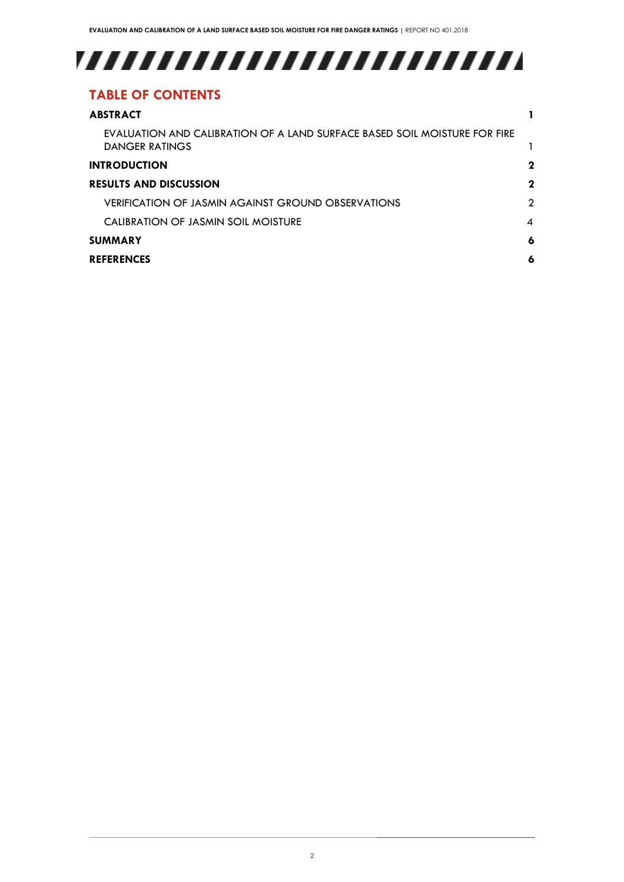# 

## **TABLE OF CONTENTS**

| <b>ABSTRACT</b>                                                                                    |             |
|----------------------------------------------------------------------------------------------------|-------------|
| EVALUATION AND CALIBRATION OF A LAND SURFACE BASED SOIL MOISTURE FOR FIRE<br><b>DANGER RATINGS</b> |             |
| <b>INTRODUCTION</b>                                                                                | $\mathbf 2$ |
| <b>RESULTS AND DISCUSSION</b>                                                                      | $\mathbf 2$ |
| VERIFICATION OF JASMIN AGAINST GROUND OBSERVATIONS                                                 | 2           |
| CALIBRATION OF JASMIN SOIL MOISTURE                                                                | 4           |
| <b>SUMMARY</b>                                                                                     | 6           |
| <b>REFERENCES</b>                                                                                  | 6           |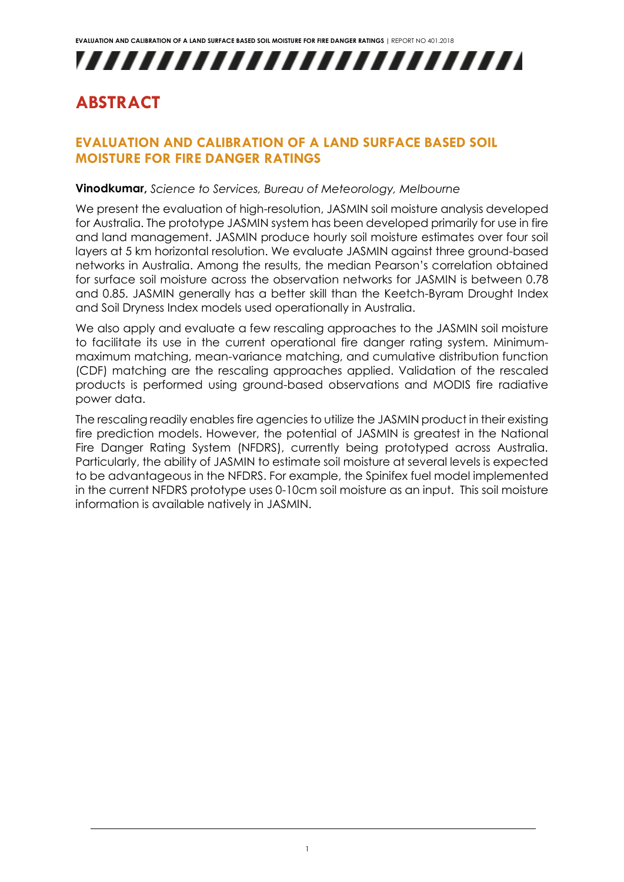

## <span id="page-3-0"></span>**ABSTRACT**

#### <span id="page-3-1"></span>**EVALUATION AND CALIBRATION OF A LAND SURFACE BASED SOIL MOISTURE FOR FIRE DANGER RATINGS**

#### **Vinodkumar,** *Science to Services, Bureau of Meteorology, Melbourne*

We present the evaluation of high-resolution, JASMIN soil moisture analysis developed for Australia. The prototype JASMIN system has been developed primarily for use in fire and land management. JASMIN produce hourly soil moisture estimates over four soil layers at 5 km horizontal resolution. We evaluate JASMIN against three ground-based networks in Australia. Among the results, the median Pearson's correlation obtained for surface soil moisture across the observation networks for JASMIN is between 0.78 and 0.85. JASMIN generally has a better skill than the Keetch-Byram Drought Index and Soil Dryness Index models used operationally in Australia.

We also apply and evaluate a few rescaling approaches to the JASMIN soil moisture to facilitate its use in the current operational fire danger rating system. Minimummaximum matching, mean-variance matching, and cumulative distribution function (CDF) matching are the rescaling approaches applied. Validation of the rescaled products is performed using ground-based observations and MODIS fire radiative power data.

The rescaling readily enables fire agencies to utilize the JASMIN product in their existing fire prediction models. However, the potential of JASMIN is greatest in the National Fire Danger Rating System (NFDRS), currently being prototyped across Australia. Particularly, the ability of JASMIN to estimate soil moisture at several levels is expected to be advantageous in the NFDRS. For example, the Spinifex fuel model implemented in the current NFDRS prototype uses 0-10cm soil moisture as an input. This soil moisture information is available natively in JASMIN.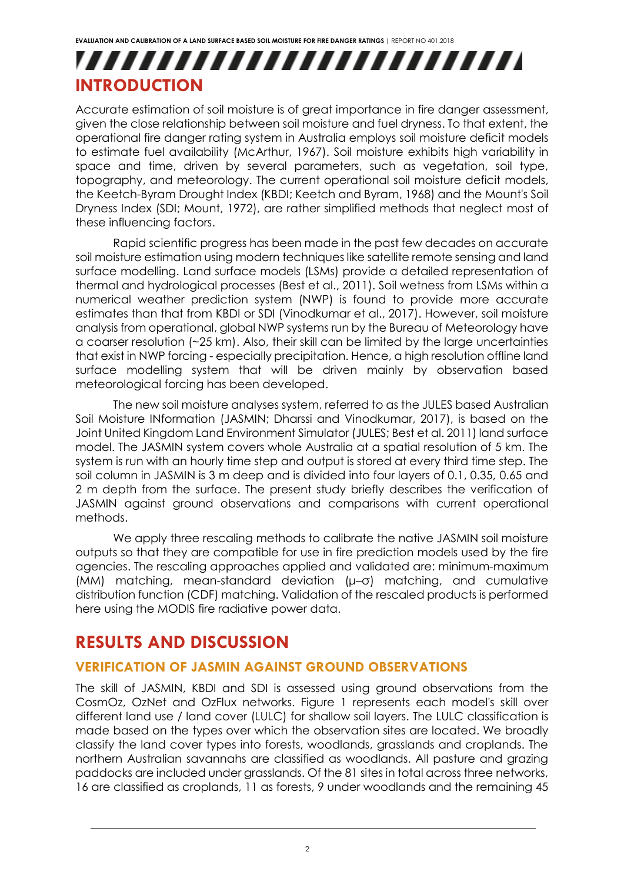## ,,,,,,,,,,,,,,,,,,,,,,,,, **INTRODUCTION**

<span id="page-4-0"></span>Accurate estimation of soil moisture is of great importance in fire danger assessment, given the close relationship between soil moisture and fuel dryness. To that extent, the operational fire danger rating system in Australia employs soil moisture deficit models to estimate fuel availability (McArthur, 1967). Soil moisture exhibits high variability in space and time, driven by several parameters, such as vegetation, soil type, topography, and meteorology. The current operational soil moisture deficit models, the Keetch-Byram Drought Index (KBDI; Keetch and Byram, 1968) and the Mount's Soil Dryness Index (SDI; Mount, 1972), are rather simplified methods that neglect most of these influencing factors.

Rapid scientific progress has been made in the past few decades on accurate soil moisture estimation using modern techniques like satellite remote sensing and land surface modelling. Land surface models (LSMs) provide a detailed representation of thermal and hydrological processes (Best et al., 2011). Soil wetness from LSMs within a numerical weather prediction system (NWP) is found to provide more accurate estimates than that from KBDI or SDI (Vinodkumar et al., 2017). However, soil moisture analysis from operational, global NWP systems run by the Bureau of Meteorology have a coarser resolution (~25 km). Also, their skill can be limited by the large uncertainties that exist in NWP forcing - especially precipitation. Hence, a high resolution offline land surface modelling system that will be driven mainly by observation based meteorological forcing has been developed.

The new soil moisture analyses system, referred to as the JULES based Australian Soil Moisture INformation (JASMIN; Dharssi and Vinodkumar, 2017), is based on the Joint United Kingdom Land Environment Simulator (JULES; Best et al. 2011) land surface model. The JASMIN system covers whole Australia at a spatial resolution of 5 km. The system is run with an hourly time step and output is stored at every third time step. The soil column in JASMIN is 3 m deep and is divided into four layers of 0.1, 0.35, 0.65 and 2 m depth from the surface. The present study briefly describes the verification of JASMIN against ground observations and comparisons with current operational methods.

We apply three rescaling methods to calibrate the native JASMIN soil moisture outputs so that they are compatible for use in fire prediction models used by the fire agencies. The rescaling approaches applied and validated are: minimum-maximum (MM) matching, mean-standard deviation (μ–σ) matching, and cumulative distribution function (CDF) matching. Validation of the rescaled products is performed here using the MODIS fire radiative power data.

## **RESULTS AND DISCUSSION**

#### **VERIFICATION OF JASMIN AGAINST GROUND OBSERVATIONS**

The skill of JASMIN, KBDI and SDI is assessed using ground observations from the CosmOz, OzNet and OzFlux networks. Figure 1 represents each model's skill over different land use / land cover (LULC) for shallow soil layers. The LULC classification is made based on the types over which the observation sites are located. We broadly classify the land cover types into forests, woodlands, grasslands and croplands. The northern Australian savannahs are classified as woodlands. All pasture and grazing paddocks are included under grasslands. Of the 81 sites in total across three networks, 16 are classified as croplands, 11 as forests, 9 under woodlands and the remaining 45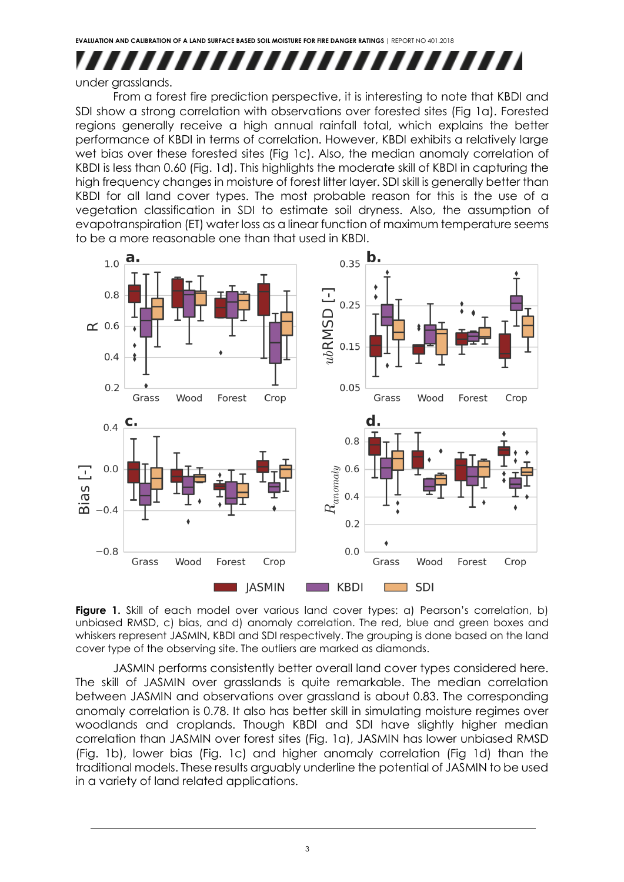### ,,,,,,,,,,,,,,,,,, ,,,,,

#### under grasslands.

From a forest fire prediction perspective, it is interesting to note that KBDI and SDI show a strong correlation with observations over forested sites (Fig 1a). Forested regions generally receive a high annual rainfall total, which explains the better performance of KBDI in terms of correlation. However, KBDI exhibits a relatively large wet bias over these forested sites (Fig 1c). Also, the median anomaly correlation of KBDI is less than 0.60 (Fig. 1d). This highlights the moderate skill of KBDI in capturing the high frequency changes in moisture of forest litter layer. SDI skill is generally better than KBDI for all land cover types. The most probable reason for this is the use of a vegetation classification in SDI to estimate soil dryness. Also, the assumption of evapotranspiration (ET) water loss as a linear function of maximum temperature seems to be a more reasonable one than that used in KBDI.



**Figure 1.** Skill of each model over various land cover types: a) Pearson's correlation, b) unbiased RMSD, c) bias, and d) anomaly correlation. The red, blue and green boxes and whiskers represent JASMIN, KBDI and SDI respectively. The grouping is done based on the land cover type of the observing site. The outliers are marked as diamonds.

JASMIN performs consistently better overall land cover types considered here. The skill of JASMIN over grasslands is quite remarkable. The median correlation between JASMIN and observations over grassland is about 0.83. The corresponding anomaly correlation is 0.78. It also has better skill in simulating moisture regimes over woodlands and croplands. Though KBDI and SDI have slightly higher median correlation than JASMIN over forest sites (Fig. 1a), JASMIN has lower unbiased RMSD (Fig. 1b), lower bias (Fig. 1c) and higher anomaly correlation (Fig 1d) than the traditional models. These results arguably underline the potential of JASMIN to be used in a variety of land related applications.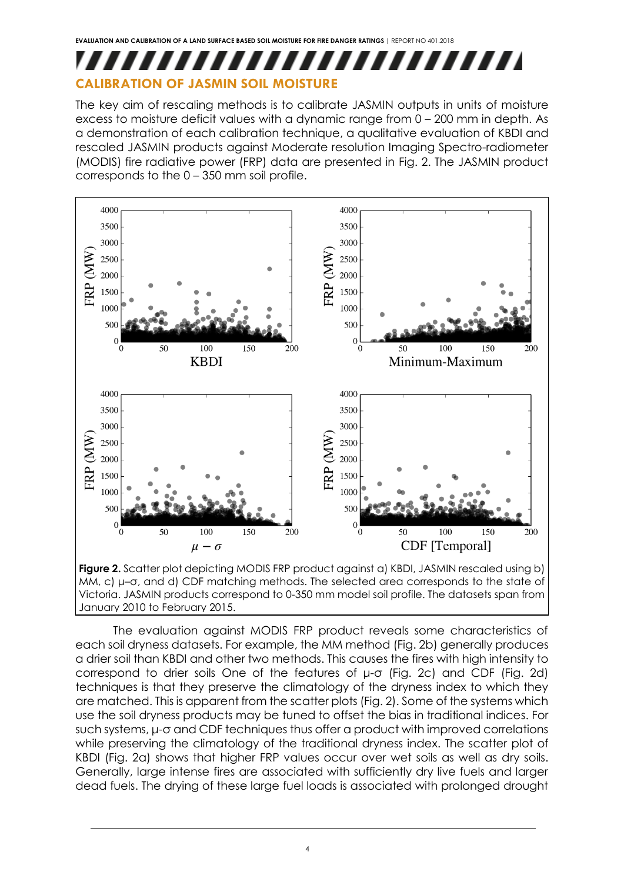# ,,,,,,,,,,,,,,,,,,,,,,,,,

## **CALIBRATION OF JASMIN SOIL MOISTURE**

The key aim of rescaling methods is to calibrate JASMIN outputs in units of moisture excess to moisture deficit values with a dynamic range from 0 – 200 mm in depth. As a demonstration of each calibration technique, a qualitative evaluation of KBDI and rescaled JASMIN products against Moderate resolution Imaging Spectro-radiometer (MODIS) fire radiative power (FRP) data are presented in Fig. 2. The JASMIN product corresponds to the 0 – 350 mm soil profile.



MM, c) μ–σ, and d) CDF matching methods. The selected area corresponds to the state of Victoria. JASMIN products correspond to 0-350 mm model soil profile. The datasets span from January 2010 to February 2015.

The evaluation against MODIS FRP product reveals some characteristics of each soil dryness datasets. For example, the MM method (Fig. 2b) generally produces a drier soil than KBDI and other two methods. This causes the fires with high intensity to correspond to drier soils One of the features of μ-σ (Fig. 2c) and CDF (Fig. 2d) techniques is that they preserve the climatology of the dryness index to which they are matched. This is apparent from the scatter plots (Fig. 2). Some of the systems which use the soil dryness products may be tuned to offset the bias in traditional indices. For such systems, μ-σ and CDF techniques thus offer a product with improved correlations while preserving the climatology of the traditional dryness index. The scatter plot of KBDI (Fig. 2a) shows that higher FRP values occur over wet soils as well as dry soils. Generally, large intense fires are associated with sufficiently dry live fuels and larger dead fuels. The drying of these large fuel loads is associated with prolonged drought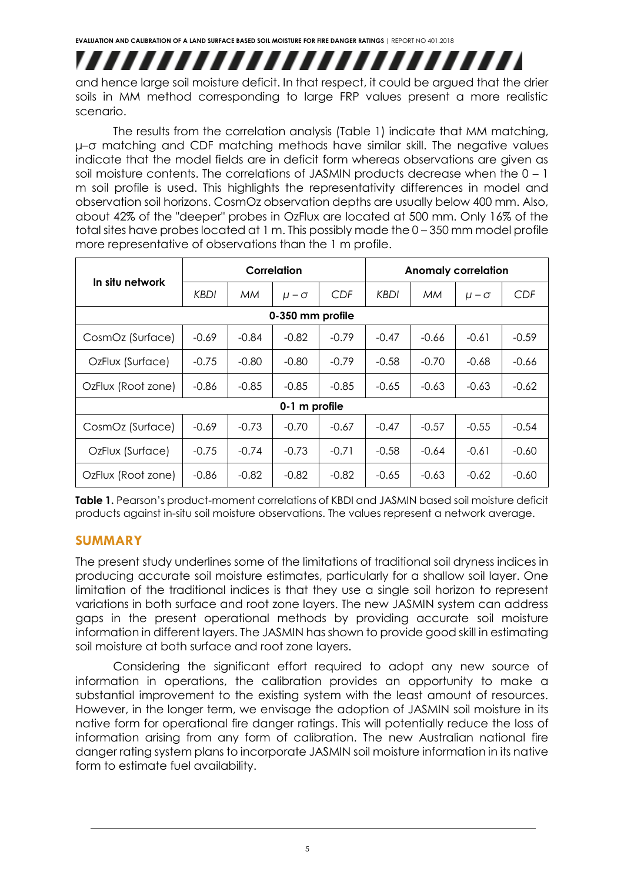## ,,,,,,,,,,,,,,,,,,,,,,,,,,

and hence large soil moisture deficit. In that respect, it could be argued that the drier soils in MM method corresponding to large FRP values present a more realistic scenario.

The results from the correlation analysis (Table 1) indicate that MM matching, μ–σ matching and CDF matching methods have similar skill. The negative values indicate that the model fields are in deficit form whereas observations are given as soil moisture contents. The correlations of JASMIN products decrease when the 0 – 1 m soil profile is used. This highlights the representativity differences in model and observation soil horizons. CosmOz observation depths are usually below 400 mm. Also, about 42% of the "deeper" probes in OzFlux are located at 500 mm. Only 16% of the total sites have probes located at 1 m. This possibly made the 0 – 350 mm model profile more representative of observations than the 1 m profile.

|                    | Correlation |         |                |         | <b>Anomaly correlation</b> |         |                  |         |  |  |
|--------------------|-------------|---------|----------------|---------|----------------------------|---------|------------------|---------|--|--|
| In situ network    | KBDI        | МM      | $\mu - \sigma$ | CDF     | KBDI                       | MM      | $\mu$ – $\sigma$ | CDF     |  |  |
| 0-350 mm profile   |             |         |                |         |                            |         |                  |         |  |  |
| CosmOz (Surface)   | $-0.69$     | $-0.84$ | $-0.82$        | $-0.79$ | $-0.47$                    | $-0.66$ | $-0.61$          | $-0.59$ |  |  |
| OzFlux (Surface)   | $-0.75$     | $-0.80$ | $-0.80$        | $-0.79$ | $-0.58$                    | $-0.70$ | $-0.68$          | -0.66   |  |  |
| OzFlux (Root zone) | $-0.86$     | $-0.85$ | $-0.85$        | $-0.85$ | $-0.65$                    | $-0.63$ | $-0.63$          | $-0.62$ |  |  |
| 0-1 m profile      |             |         |                |         |                            |         |                  |         |  |  |
| CosmOz (Surface)   | -0.69       | $-0.73$ | $-0.70$        | $-0.67$ | $-0.47$                    | $-0.57$ | $-0.55$          | $-0.54$ |  |  |
| OzFlux (Surface)   | $-0.75$     | $-0.74$ | $-0.73$        | $-0.71$ | $-0.58$                    | $-0.64$ | $-0.61$          | $-0.60$ |  |  |
| OzFlux (Root zone) | $-0.86$     | $-0.82$ | $-0.82$        | $-0.82$ | $-0.65$                    | $-0.63$ | $-0.62$          | $-0.60$ |  |  |

Table 1. Pearson's product-moment correlations of KBDI and JASMIN based soil moisture deficit products against in-situ soil moisture observations. The values represent a network average.

#### **SUMMARY**

The present study underlines some of the limitations of traditional soil dryness indices in producing accurate soil moisture estimates, particularly for a shallow soil layer. One limitation of the traditional indices is that they use a single soil horizon to represent variations in both surface and root zone layers. The new JASMIN system can address gaps in the present operational methods by providing accurate soil moisture information in different layers. The JASMIN has shown to provide good skill in estimating soil moisture at both surface and root zone layers.

Considering the significant effort required to adopt any new source of information in operations, the calibration provides an opportunity to make a substantial improvement to the existing system with the least amount of resources. However, in the longer term, we envisage the adoption of JASMIN soil moisture in its native form for operational fire danger ratings. This will potentially reduce the loss of information arising from any form of calibration. The new Australian national fire danger rating system plans to incorporate JASMIN soil moisture information in its native form to estimate fuel availability.